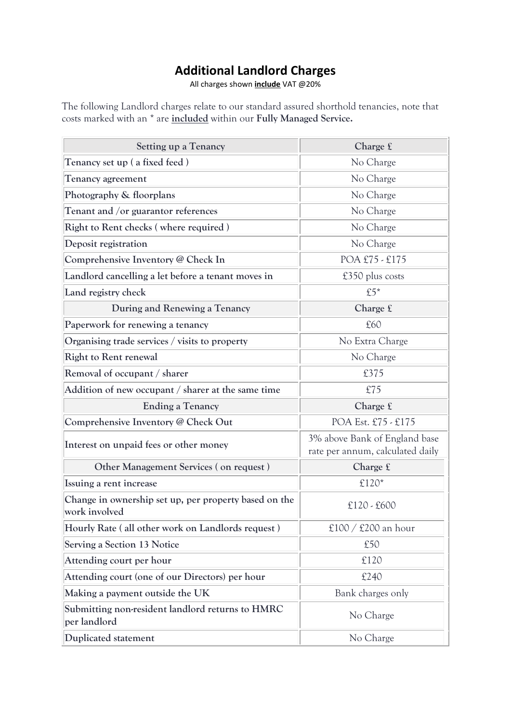## **Additional Landlord Charges**

All charges shown **include** VAT @20%

The following Landlord charges relate to our standard assured shorthold tenancies, note that costs marked with an \* are **included** within our **Fully Managed Service.**

| <b>Setting up a Tenancy</b>                                            | Charge $f$                                                        |
|------------------------------------------------------------------------|-------------------------------------------------------------------|
| Tenancy set up (a fixed feed)                                          | No Charge                                                         |
| <b>Tenancy agreement</b>                                               | No Charge                                                         |
| Photography & floorplans                                               | No Charge                                                         |
| Tenant and /or guarantor references                                    | No Charge                                                         |
| Right to Rent checks (where required)                                  | No Charge                                                         |
| Deposit registration                                                   | No Charge                                                         |
| Comprehensive Inventory @ Check In                                     | POA £75 - £175                                                    |
| Landlord cancelling a let before a tenant moves in                     | £350 plus costs                                                   |
| Land registry check                                                    | $£5*$                                                             |
| During and Renewing a Tenancy                                          | Charge £                                                          |
| Paperwork for renewing a tenancy                                       | £60                                                               |
| Organising trade services / visits to property                         | No Extra Charge                                                   |
| <b>Right to Rent renewal</b>                                           | No Charge                                                         |
| Removal of occupant / sharer                                           | £375                                                              |
| Addition of new occupant / sharer at the same time                     | £75                                                               |
| <b>Ending a Tenancy</b>                                                | Charge £                                                          |
| Comprehensive Inventory @ Check Out                                    | POA Est. £75 - £175                                               |
| Interest on unpaid fees or other money                                 | 3% above Bank of England base<br>rate per annum, calculated daily |
| Other Management Services (on request)                                 | Charge £                                                          |
| Issuing a rent increase                                                | £120*                                                             |
| Change in ownership set up, per property based on the<br>work involved | $£120 - £600$                                                     |
| Hourly Rate (all other work on Landlords request)                      | £100 / £200 an hour                                               |
| <b>Serving a Section 13 Notice</b>                                     | £50                                                               |
| Attending court per hour                                               | £120                                                              |
| Attending court (one of our Directors) per hour                        | £240                                                              |
| Making a payment outside the UK                                        | Bank charges only                                                 |
| Submitting non-resident landlord returns to HMRC<br>per landlord       | No Charge                                                         |
| Duplicated statement                                                   | No Charge                                                         |